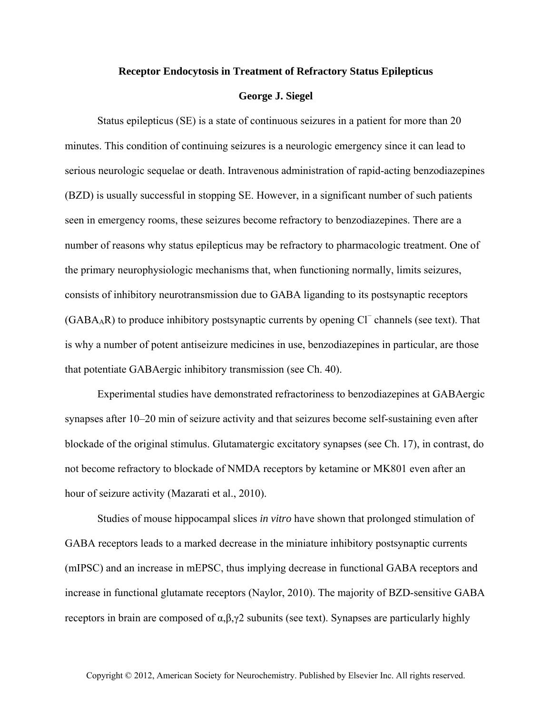## **Receptor Endocytosis in Treatment of Refractory Status Epilepticus**

## **George J. Siegel**

Status epilepticus (SE) is a state of continuous seizures in a patient for more than 20 minutes. This condition of continuing seizures is a neurologic emergency since it can lead to serious neurologic sequelae or death. Intravenous administration of rapid-acting benzodiazepines (BZD) is usually successful in stopping SE. However, in a significant number of such patients seen in emergency rooms, these seizures become refractory to benzodiazepines. There are a number of reasons why status epilepticus may be refractory to pharmacologic treatment. One of the primary neurophysiologic mechanisms that, when functioning normally, limits seizures, consists of inhibitory neurotransmission due to GABA liganding to its postsynaptic receptors (GABA<sub>A</sub>R) to produce inhibitory postsynaptic currents by opening Cl<sup>−</sup> channels (see text). That is why a number of potent antiseizure medicines in use, benzodiazepines in particular, are those that potentiate GABAergic inhibitory transmission (see Ch. 40).

Experimental studies have demonstrated refractoriness to benzodiazepines at GABAergic synapses after 10–20 min of seizure activity and that seizures become self-sustaining even after blockade of the original stimulus. Glutamatergic excitatory synapses (see Ch. 17), in contrast, do not become refractory to blockade of NMDA receptors by ketamine or MK801 even after an hour of seizure activity (Mazarati et al., 2010).

Studies of mouse hippocampal slices *in vitro* have shown that prolonged stimulation of GABA receptors leads to a marked decrease in the miniature inhibitory postsynaptic currents (mIPSC) and an increase in mEPSC, thus implying decrease in functional GABA receptors and increase in functional glutamate receptors (Naylor, 2010). The majority of BZD-sensitive GABA receptors in brain are composed of  $\alpha, \beta, \gamma$ 2 subunits (see text). Synapses are particularly highly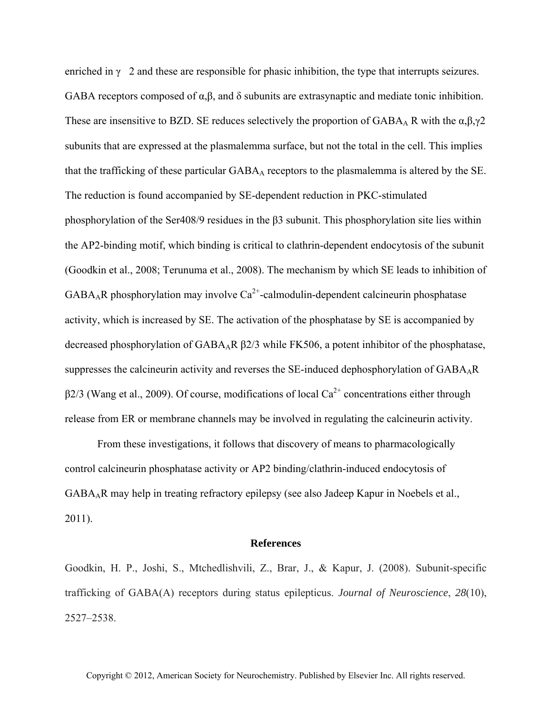enriched in  $\gamma$  2 and these are responsible for phasic inhibition, the type that interrupts seizures. GABA receptors composed of α,β, and δ subunits are extrasynaptic and mediate tonic inhibition. These are insensitive to BZD. SE reduces selectively the proportion of GABA<sub>A</sub> R with the  $\alpha, \beta, \gamma$ 2 subunits that are expressed at the plasmalemma surface, but not the total in the cell. This implies that the trafficking of these particular  $GABA_A$  receptors to the plasmalemma is altered by the SE. The reduction is found accompanied by SE-dependent reduction in PKC-stimulated phosphorylation of the Ser408/9 residues in the β3 subunit. This phosphorylation site lies within the AP2-binding motif, which binding is critical to clathrin-dependent endocytosis of the subunit (Goodkin et al., 2008; Terunuma et al., 2008). The mechanism by which SE leads to inhibition of  $GABA_AR$  phosphorylation may involve  $Ca^{2+}$ -calmodulin-dependent calcineurin phosphatase activity, which is increased by SE. The activation of the phosphatase by SE is accompanied by decreased phosphorylation of GABAAR β2/3 while FK506, a potent inhibitor of the phosphatase, suppresses the calcineurin activity and reverses the SE-induced dephosphorylation of GABA<sub>A</sub>R  $\beta$ 2/3 (Wang et al., 2009). Of course, modifications of local Ca<sup>2+</sup> concentrations either through release from ER or membrane channels may be involved in regulating the calcineurin activity.

From these investigations, it follows that discovery of means to pharmacologically control calcineurin phosphatase activity or AP2 binding/clathrin-induced endocytosis of GABAAR may help in treating refractory epilepsy (see also Jadeep Kapur in Noebels et al., 2011).

## **References**

Goodkin, H. P., Joshi, S., Mtchedlishvili, Z., Brar, J., & Kapur, J. (2008). Subunit-specific trafficking of GABA(A) receptors during status epilepticus. *Journal of Neuroscience*, *28*(10), 2527–2538.